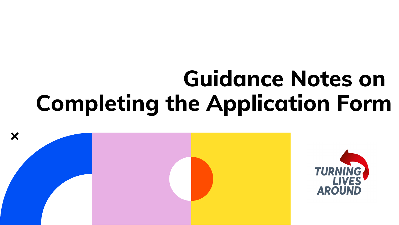# **Guidance Notes on Completing the Application Form**



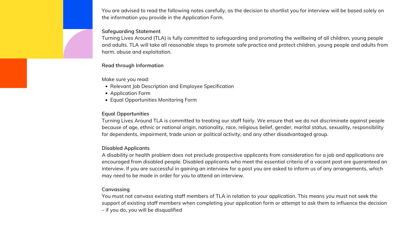- Relevant Job Description and Employee Specification
- Application Form
- Equal Opportunities Monitoring Form

You are advised to read the following notes carefully, as the decision to shortlist you for interview will be based solely on the information you provide in the Application Form.

#### **Safeguarding Statement**

Turning Lives Around (TLA) is fully committed to safeguarding and promoting the wellbeing of all children, young people and adults. TLA will take all reasonable steps to promote safe practice and protect children, young people and adults from harm, abuse and exploitation.

#### **Read through Information**

Make sure you read:

# **Equal Opportunities**

Turning Lives Around TLA is committed to treating our staff fairly. We ensure that we do not discriminate against people because of age, ethnic or national origin, nationality, race, religious belief, gender, marital status, sexuality, responsibility for dependents, impairment, trade union or political activity, and any other disadvantaged group.

#### **Disabled Applicants**

A disability or health problem does not preclude prospective applicants from consideration for a job and applications are encouraged from disabled people. Disabled applicants who meet the essential criteria of a vacant post are guaranteed an interview. If you are successful in gaining an interview for a post you are asked to inform us of any arrangements, which may need to be made in order for you to attend an interview.

# **Canvassing**

You must not canvass existing staff members of TLA in relation to your application. This means you must not seek the support of existing staff members when completing your application form or attempt to ask them to influence the decision – if you do, you will be disqualified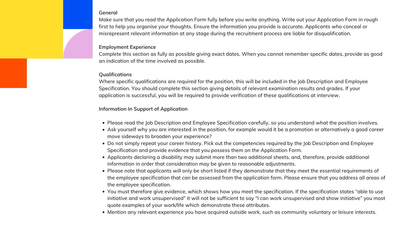- Please read the Job Description and Employee Specification carefully, so you understand what the position involves.
- Ask yourself why you are interested in the position, for example would it be a promotion or alternatively a good career move sideways to broaden your experience?
- Do not simply repeat your career history. Pick out the competencies required by the Job Description and Employee Specification and provide evidence that you possess them on the Application Form.
- Applicants declaring a disability may submit more than two additional sheets, and, therefore, provide additional information in order that consideration may be given to reasonable adjustments.
- Please note that applicants will only be short listed if they demonstrate that they meet the essential requirements of the employee specification that can be assessed from the application form. Please ensure that you address all areas of the employee specification.
- You must therefore give evidence, which shows how you meet the specification. If the specification states "able to use initiative and work unsupervised" it will not be sufficient to say "I can work unsupervised and show initiative" you most quote examples of your work/life which demonstrate these attributes.
- Mention any relevant experience you have acquired outside work, such as community voluntary or leisure interests.

#### **General**

Make sure that you read the Application Form fully before you write anything. Write out your Application Form in rough first to help you organise your thoughts. Ensure the information you provide is accurate. Applicants who conceal or misrepresent relevant information at any stage during the recruitment process are liable for disqualification.

# **Employment Experience**

Complete this section as fully as possible giving exact dates. When you cannot remember specific dates, provide as good an indication of the time involved as possible.

#### **Qualifications**

Where specific qualifications are required for the position, this will be included in the Job Description and Employee Specification. You should complete this section giving details of relevant examination results and grades. If your application is successful, you will be required to provide verification of these qualifications at interview.

# **Information In Support of Application**